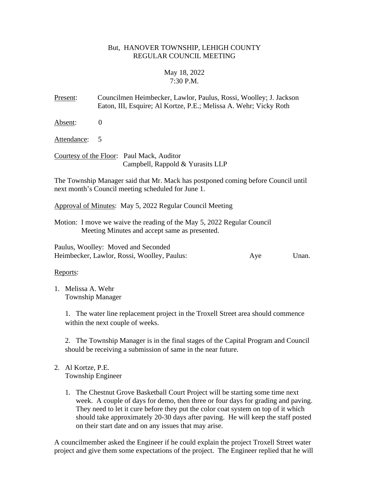## But, HANOVER TOWNSHIP, LEHIGH COUNTY REGULAR COUNCIL MEETING

# May 18, 2022 7:30 P.M.

Present: Councilmen Heimbecker, Lawlor, Paulus, Rossi, Woolley; J. Jackson Eaton, III, Esquire; Al Kortze, P.E.; Melissa A. Wehr; Vicky Roth

Absent: 0

Attendance: 5

Courtesy of the Floor: Paul Mack, Auditor Campbell, Rappold & Yurasits LLP

The Township Manager said that Mr. Mack has postponed coming before Council until next month's Council meeting scheduled for June 1.

Approval of Minutes: May 5, 2022 Regular Council Meeting

Motion: I move we waive the reading of the May 5, 2022 Regular Council Meeting Minutes and accept same as presented.

Paulus, Woolley: Moved and Seconded Heimbecker, Lawlor, Rossi, Woolley, Paulus: Aye Unan.

Reports:

1. Melissa A. Wehr Township Manager

> 1. The water line replacement project in the Troxell Street area should commence within the next couple of weeks.

2. The Township Manager is in the final stages of the Capital Program and Council should be receiving a submission of same in the near future.

- 2. Al Kortze, P.E. Township Engineer
	- 1. The Chestnut Grove Basketball Court Project will be starting some time next week. A couple of days for demo, then three or four days for grading and paving. They need to let it cure before they put the color coat system on top of it which should take approximately 20-30 days after paving. He will keep the staff posted on their start date and on any issues that may arise.

A councilmember asked the Engineer if he could explain the project Troxell Street water project and give them some expectations of the project. The Engineer replied that he will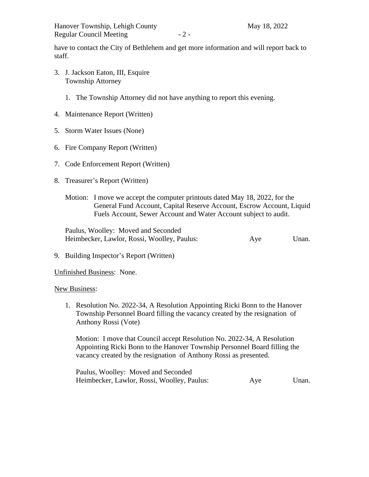have to contact the City of Bethlehem and get more information and will report back to staff.

- 3. J. Jackson Eaton, III, Esquire Township Attorney
	- 1. The Township Attorney did not have anything to report this evening.
- 4. Maintenance Report (Written)
- 5. Storm Water Issues (None)
- 6. Fire Company Report (Written)
- 7. Code Enforcement Report (Written)
- 8. Treasurer's Report (Written)
	- Motion: I move we accept the computer printouts dated May 18, 2022, for the General Fund Account, Capital Reserve Account, Escrow Account, Liquid Fuels Account, Sewer Account and Water Account subject to audit.

Paulus, Woolley: Moved and Seconded Heimbecker, Lawlor, Rossi, Woolley, Paulus: Aye Unan.

9. Building Inspector's Report (Written)

Unfinished Business: None.

#### New Business:

1. Resolution No. 2022-34, A Resolution Appointing Ricki Bonn to the Hanover Township Personnel Board filling the vacancy created by the resignation of Anthony Rossi (Vote)

Motion: I move that Council accept Resolution No. 2022-34, A Resolution Appointing Ricki Bonn to the Hanover Township Personnel Board filling the vacancy created by the resignation of Anthony Rossi as presented.

Paulus, Woolley: Moved and Seconded Heimbecker, Lawlor, Rossi, Woolley, Paulus: Aye Unan.